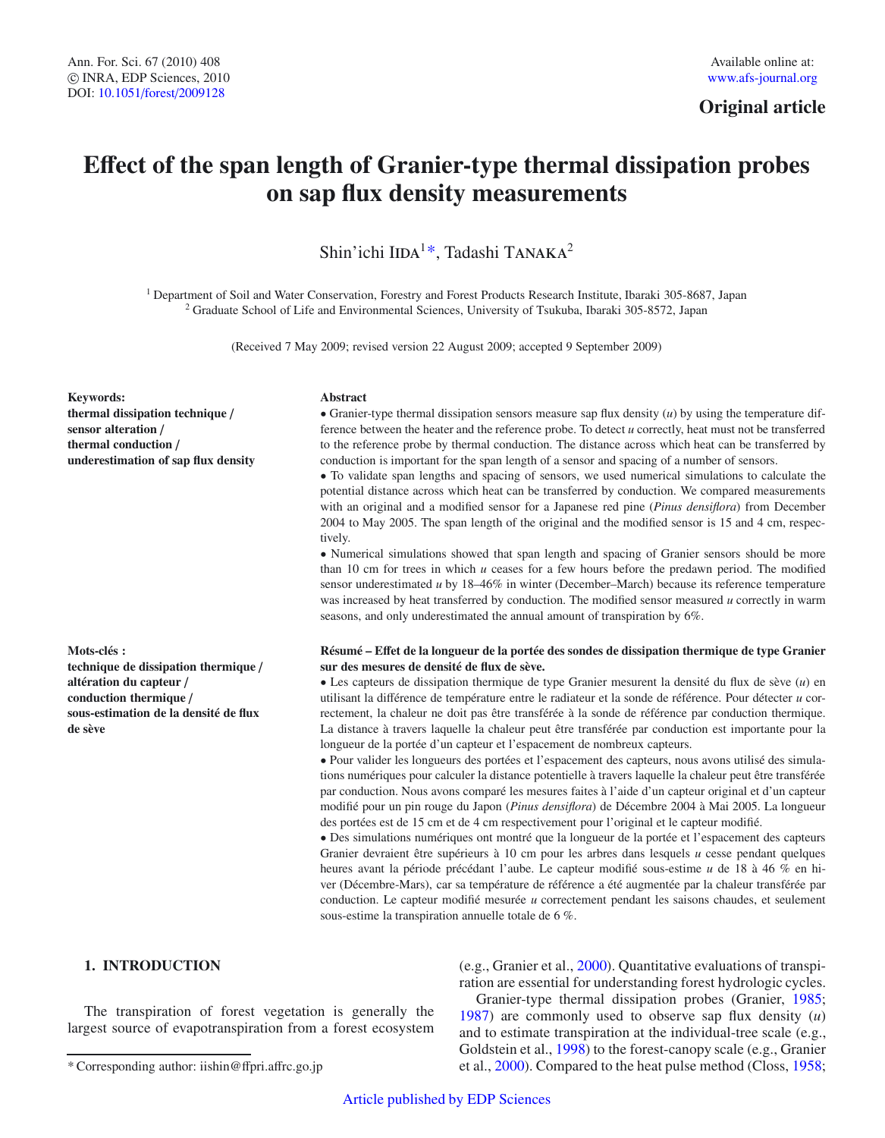# **Original article**

# **E**ff**ect of the span length of Granier-type thermal dissipation probes on sap flux density measurements**

Shin'ichi IIDA<sup>1\*</sup>, Tadashi TANAKA<sup>2</sup>

<sup>1</sup> Department of Soil and Water Conservation, Forestry and Forest Products Research Institute, Ibaraki 305-8687, Japan <sup>2</sup> Graduate School of Life and Environmental Sciences, University of Tsukuba, Ibaraki 305-8572, Japan

(Received 7 May 2009; revised version 22 August 2009; accepted 9 September 2009)

**Keywords: thermal dissipation technique** / **sensor alteration** / **thermal conduction** / **underestimation of sap flux density**

**Mots-clés : technique de dissipation thermique** / **altération du capteur** / **conduction thermique** / **sous-estimation de la densité de flux de sève**

#### **Abstract**

• Granier-type thermal dissipation sensors measure sap flux density (*u*) by using the temperature difference between the heater and the reference probe. To detect *u* correctly, heat must not be transferred to the reference probe by thermal conduction. The distance across which heat can be transferred by conduction is important for the span length of a sensor and spacing of a number of sensors.

• To validate span lengths and spacing of sensors, we used numerical simulations to calculate the potential distance across which heat can be transferred by conduction. We compared measurements with an original and a modified sensor for a Japanese red pine (*Pinus densiflora*) from December 2004 to May 2005. The span length of the original and the modified sensor is 15 and 4 cm, respectively.

• Numerical simulations showed that span length and spacing of Granier sensors should be more than 10 cm for trees in which *u* ceases for a few hours before the predawn period. The modified sensor underestimated *u* by 18–46% in winter (December–March) because its reference temperature was increased by heat transferred by conduction. The modified sensor measured *u* correctly in warm seasons, and only underestimated the annual amount of transpiration by 6%.

#### **Résumé – E**ff**et de la longueur de la portée des sondes de dissipation thermique de type Granier sur des mesures de densité de flux de sève.**

• Les capteurs de dissipation thermique de type Granier mesurent la densité du flux de sève (*u*) en utilisant la différence de température entre le radiateur et la sonde de référence. Pour détecter *u* correctement, la chaleur ne doit pas être transférée à la sonde de référence par conduction thermique. La distance à travers laquelle la chaleur peut être transférée par conduction est importante pour la longueur de la portée d'un capteur et l'espacement de nombreux capteurs.

• Pour valider les longueurs des portées et l'espacement des capteurs, nous avons utilisé des simulations numériques pour calculer la distance potentielle à travers laquelle la chaleur peut être transférée par conduction. Nous avons comparé les mesures faites à l'aide d'un capteur original et d'un capteur modifié pour un pin rouge du Japon (*Pinus densiflora*) de Décembre 2004 à Mai 2005. La longueur des portées est de 15 cm et de 4 cm respectivement pour l'original et le capteur modifié.

• Des simulations numériques ont montré que la longueur de la portée et l'espacement des capteurs Granier devraient être supérieurs à 10 cm pour les arbres dans lesquels *u* cesse pendant quelques heures avant la période précédant l'aube. Le capteur modifié sous-estime *u* de 18 à 46 % en hiver (Décembre-Mars), car sa température de référence a été augmentée par la chaleur transférée par conduction. Le capteur modifié mesurée *u* correctement pendant les saisons chaudes, et seulement sous-estime la transpiration annuelle totale de 6 %.

# **1. INTRODUCTION**

The transpiration of forest vegetation is generally the largest source of evapotranspiration from a forest ecosystem (e.g., Granier et al., [2000](#page-8-0)). Quantitative evaluations of transpiration are essential for understanding forest hydrologic cycles.

Granier-type thermal dissipation probes (Granier, [1985;](#page-8-1) [1987\)](#page-8-2) are commonly used to observe sap flux density (*u*) and to estimate transpiration at the individual-tree scale (e.g., Goldstein et al., [1998\)](#page-8-3) to the forest-canopy scale (e.g., Granier et al., [2000\)](#page-8-0). Compared to the heat pulse method (Closs, [1958;](#page-8-4)

<sup>\*</sup> Corresponding author: iishin@ffpri.affrc.go.jp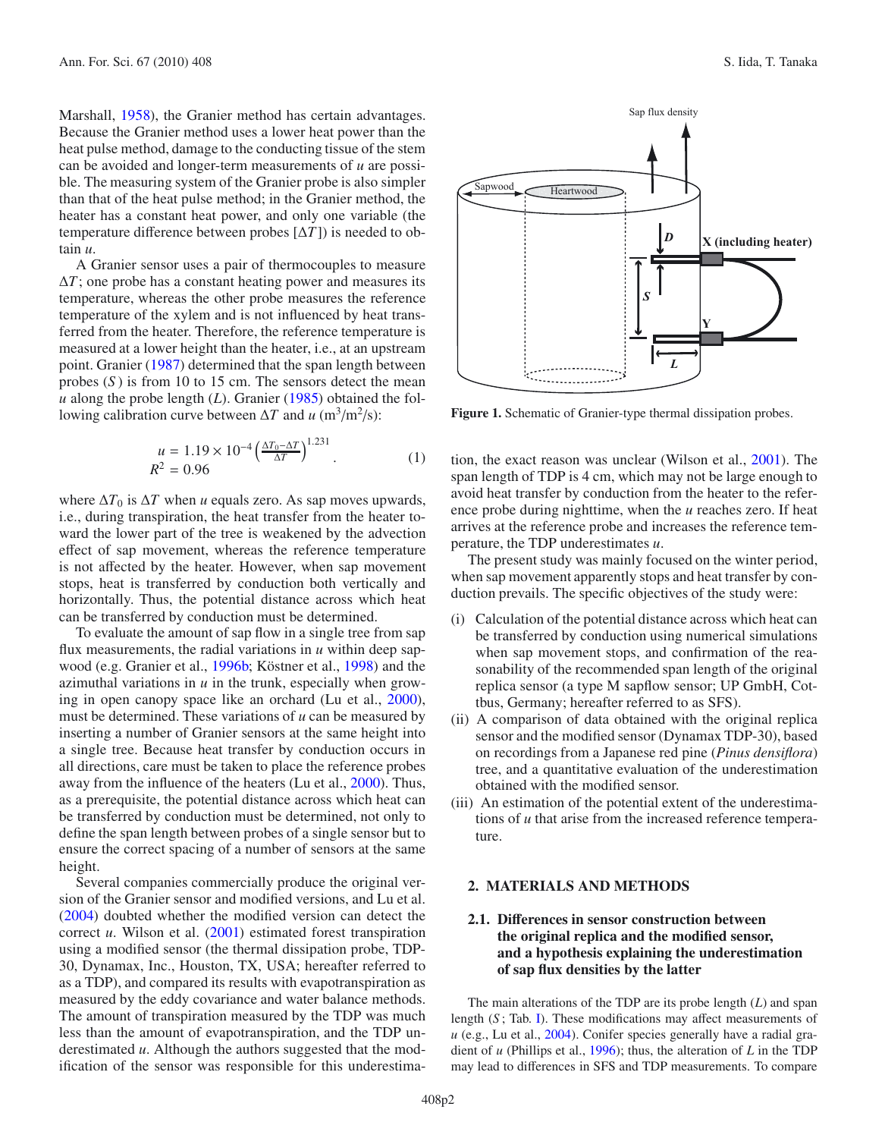Marshall, [1958\)](#page-9-0), the Granier method has certain advantages. Because the Granier method uses a lower heat power than the heat pulse method, damage to the conducting tissue of the stem can be avoided and longer-term measurements of *u* are possible. The measuring system of the Granier probe is also simpler than that of the heat pulse method; in the Granier method, the heater has a constant heat power, and only one variable (the temperature difference between probes  $[\Delta T]$ ) is needed to obtain *u*.

A Granier sensor uses a pair of thermocouples to measure  $\Delta T$ ; one probe has a constant heating power and measures its temperature, whereas the other probe measures the reference temperature of the xylem and is not influenced by heat transferred from the heater. Therefore, the reference temperature is measured at a lower height than the heater, i.e., at an upstream point. Granier [\(1987](#page-8-2)) determined that the span length between probes (*S* ) is from 10 to 15 cm. The sensors detect the mean *u* along the probe length (*L*). Granier [\(1985](#page-8-1)) obtained the following calibration curve between  $\Delta T$  and *u* (m<sup>3</sup>/m<sup>2</sup>/s):

$$
\begin{aligned} u &= 1.19 \times 10^{-4} \left( \frac{\Delta T_0 - \Delta T}{\Delta T} \right)^{1.231} \\ R^2 &= 0.96 \end{aligned} \tag{1}
$$

where  $\Delta T_0$  is  $\Delta T$  when *u* equals zero. As sap moves upwards, i.e., during transpiration, the heat transfer from the heater toward the lower part of the tree is weakened by the advection effect of sap movement, whereas the reference temperature is not affected by the heater. However, when sap movement stops, heat is transferred by conduction both vertically and horizontally. Thus, the potential distance across which heat can be transferred by conduction must be determined.

To evaluate the amount of sap flow in a single tree from sap flux measurements, the radial variations in *u* within deep sapwood (e.g. Granier et al., [1996b;](#page-8-5) Köstner et al., [1998](#page-9-1)) and the azimuthal variations in *u* in the trunk, especially when growing in open canopy space like an orchard (Lu et al., [2000\)](#page-9-2), must be determined. These variations of *u* can be measured by inserting a number of Granier sensors at the same height into a single tree. Because heat transfer by conduction occurs in all directions, care must be taken to place the reference probes away from the influence of the heaters (Lu et al., [2000\)](#page-9-2). Thus, as a prerequisite, the potential distance across which heat can be transferred by conduction must be determined, not only to define the span length between probes of a single sensor but to ensure the correct spacing of a number of sensors at the same height.

Several companies commercially produce the original version of the Granier sensor and modified versions, and Lu et al. [\(2004\)](#page-9-3) doubted whether the modified version can detect the correct *u*. Wilson et al. [\(2001](#page-9-4)) estimated forest transpiration using a modified sensor (the thermal dissipation probe, TDP-30, Dynamax, Inc., Houston, TX, USA; hereafter referred to as a TDP), and compared its results with evapotranspiration as measured by the eddy covariance and water balance methods. The amount of transpiration measured by the TDP was much less than the amount of evapotranspiration, and the TDP underestimated *u*. Although the authors suggested that the modification of the sensor was responsible for this underestima-



**Figure 1.** Schematic of Granier-type thermal dissipation probes.

tion, the exact reason was unclear (Wilson et al., [2001\)](#page-9-4). The span length of TDP is 4 cm, which may not be large enough to avoid heat transfer by conduction from the heater to the reference probe during nighttime, when the *u* reaches zero. If heat arrives at the reference probe and increases the reference temperature, the TDP underestimates *u*.

The present study was mainly focused on the winter period, when sap movement apparently stops and heat transfer by conduction prevails. The specific objectives of the study were:

- (i) Calculation of the potential distance across which heat can be transferred by conduction using numerical simulations when sap movement stops, and confirmation of the reasonability of the recommended span length of the original replica sensor (a type M sapflow sensor; UP GmbH, Cottbus, Germany; hereafter referred to as SFS).
- (ii) A comparison of data obtained with the original replica sensor and the modified sensor (Dynamax TDP-30), based on recordings from a Japanese red pine (*Pinus densiflora*) tree, and a quantitative evaluation of the underestimation obtained with the modified sensor.
- (iii) An estimation of the potential extent of the underestimations of *u* that arise from the increased reference temperature.

# **2. MATERIALS AND METHODS**

# **2.1. Di**ff**erences in sensor construction between the original replica and the modified sensor, and a hypothesis explaining the underestimation of sap flux densities by the latter**

The main alterations of the TDP are its probe length (*L*) and span length (*S* ; Tab. [I\)](#page-2-0). These modifications may affect measurements of *u* (e.g., Lu et al., [2004](#page-9-3)). Conifer species generally have a radial gradient of *u* (Phillips et al., [1996](#page-9-5)); thus, the alteration of *L* in the TDP may lead to differences in SFS and TDP measurements. To compare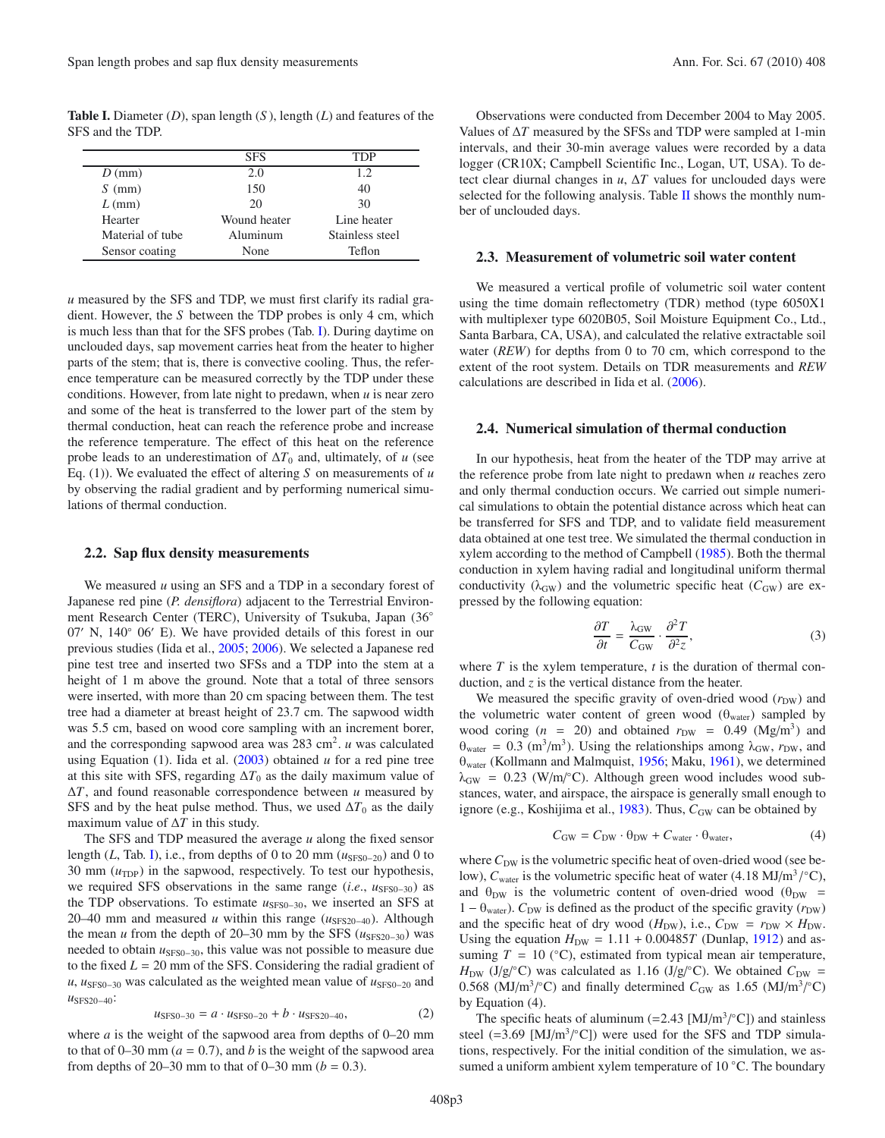<span id="page-2-0"></span>**Table I.** Diameter (*D*), span length (*S* ), length (*L*) and features of the SFS and the TDP.

|                  | <b>SFS</b>   | TDP             |
|------------------|--------------|-----------------|
| $D$ (mm)         | 2.0          | 1.2.            |
| $S$ (mm)         | 150          | 40              |
| $L$ (mm)         | 20           | 30              |
| Hearter          | Wound heater | Line heater     |
| Material of tube | Aluminum     | Stainless steel |
| Sensor coating   | None         | Teflon          |

*u* measured by the SFS and TDP, we must first clarify its radial gradient. However, the *S* between the TDP probes is only 4 cm, which is much less than that for the SFS probes (Tab. [I\)](#page-2-0). During daytime on unclouded days, sap movement carries heat from the heater to higher parts of the stem; that is, there is convective cooling. Thus, the reference temperature can be measured correctly by the TDP under these conditions. However, from late night to predawn, when *u* is near zero and some of the heat is transferred to the lower part of the stem by thermal conduction, heat can reach the reference probe and increase the reference temperature. The effect of this heat on the reference probe leads to an underestimation of  $\Delta T_0$  and, ultimately, of *u* (see Eq. (1)). We evaluated the effect of altering *S* on measurements of *u* by observing the radial gradient and by performing numerical simulations of thermal conduction.

#### **2.2. Sap flux density measurements**

We measured *u* using an SFS and a TDP in a secondary forest of Japanese red pine (*P. densiflora*) adjacent to the Terrestrial Environment Research Center (TERC), University of Tsukuba, Japan (36◦ 07' N, 140° 06' E). We have provided details of this forest in our previous studies (Iida et al., [2005;](#page-9-6) [2006](#page-9-7)). We selected a Japanese red pine test tree and inserted two SFSs and a TDP into the stem at a height of 1 m above the ground. Note that a total of three sensors were inserted, with more than 20 cm spacing between them. The test tree had a diameter at breast height of 23.7 cm. The sapwood width was 5.5 cm, based on wood core sampling with an increment borer, and the corresponding sapwood area was  $283 \text{ cm}^2$ . *u* was calculated using Equation (1). Iida et al. [\(2003\)](#page-8-6) obtained *u* for a red pine tree at this site with SFS, regarding  $\Delta T_0$  as the daily maximum value of Δ*T*, and found reasonable correspondence between *u* measured by SFS and by the heat pulse method. Thus, we used  $\Delta T_0$  as the daily maximum value of  $\Delta T$  in this study.

The SFS and TDP measured the average *u* along the fixed sensor length (*L*, Tab. [I\)](#page-2-0), i.e., from depths of 0 to 20 mm ( $u_{SFS0-20}$ ) and 0 to 30 mm  $(u_{\text{TOP}})$  in the sapwood, respectively. To test our hypothesis, we required SFS observations in the same range (*i.e.*,  $u$ <sub>SFS0−30</sub>) as the TDP observations. To estimate *u*<sub>SFS0−30</sub>, we inserted an SFS at 20–40 mm and measured *u* within this range ( $u$ <sub>SFS20–40</sub>). Although the mean *u* from the depth of 20–30 mm by the SFS ( $u$ <sub>SFS20–30</sub>) was needed to obtain *u*<sub>SFS0−30</sub>, this value was not possible to measure due to the fixed  $L = 20$  mm of the SFS. Considering the radial gradient of *u*, *u*<sub>SFS0−30</sub> was calculated as the weighted mean value of *u*<sub>SFS0−20</sub> and *u*<sub>SFS20−40</sub>:

$$
u_{\rm SFS0-30} = a \cdot u_{\rm SFS0-20} + b \cdot u_{\rm SFS20-40},\tag{2}
$$

where  $a$  is the weight of the sapwood area from depths of  $0-20$  mm to that of 0–30 mm ( $a = 0.7$ ), and  $b$  is the weight of the sapwood area from depths of 20–30 mm to that of 0–30 mm ( $b = 0.3$ ).

Observations were conducted from December 2004 to May 2005. Values of Δ*T* measured by the SFSs and TDP were sampled at 1-min intervals, and their 30-min average values were recorded by a data logger (CR10X; Campbell Scientific Inc., Logan, UT, USA). To detect clear diurnal changes in  $u$ ,  $\Delta T$  values for unclouded days were selected for the following analysis. Table [II](#page-3-0) shows the monthly number of unclouded days.

#### **2.3. Measurement of volumetric soil water content**

We measured a vertical profile of volumetric soil water content using the time domain reflectometry (TDR) method (type 6050X1 with multiplexer type 6020B05, Soil Moisture Equipment Co., Ltd., Santa Barbara, CA, USA), and calculated the relative extractable soil water (*REW*) for depths from 0 to 70 cm, which correspond to the extent of the root system. Details on TDR measurements and *REW* calculations are described in Iida et al. [\(2006\)](#page-9-7).

#### **2.4. Numerical simulation of thermal conduction**

In our hypothesis, heat from the heater of the TDP may arrive at the reference probe from late night to predawn when *u* reaches zero and only thermal conduction occurs. We carried out simple numerical simulations to obtain the potential distance across which heat can be transferred for SFS and TDP, and to validate field measurement data obtained at one test tree. We simulated the thermal conduction in xylem according to the method of Campbell [\(1985\)](#page-8-7). Both the thermal conduction in xylem having radial and longitudinal uniform thermal conductivity ( $\lambda_{GW}$ ) and the volumetric specific heat ( $C_{GW}$ ) are expressed by the following equation:

$$
\frac{\partial T}{\partial t} = \frac{\lambda_{\rm GW}}{C_{\rm GW}} \cdot \frac{\partial^2 T}{\partial^2 z},\tag{3}
$$

where  $T$  is the xylem temperature,  $t$  is the duration of thermal conduction, and *z* is the vertical distance from the heater.

We measured the specific gravity of oven-dried wood  $(r_{DW})$  and the volumetric water content of green wood  $(\theta_{water})$  sampled by wood coring  $(n = 20)$  and obtained  $r_{DW} = 0.49$  (Mg/m<sup>3</sup>) and  $\theta_{\text{water}} = 0.3 \text{ (m}^3/\text{m}^3)$ . Using the relationships among  $\lambda_{\text{GW}}$ ,  $r_{\text{DW}}$ , and  $\theta_{\text{water}}$  (Kollmann and Malmquist, [1956](#page-9-8); Maku, [1961](#page-9-9)), we determined  $\lambda_{\rm GW}$  = 0.23 (W/m/°C). Although green wood includes wood substances, water, and airspace, the airspace is generally small enough to ignore (e.g., Koshijima et al., [1983\)](#page-9-10). Thus,  $C_{GW}$  can be obtained by

$$
C_{\rm GW} = C_{\rm DW} \cdot \theta_{\rm DW} + C_{\rm water} \cdot \theta_{\rm water},\tag{4}
$$

where  $C_{\text{DW}}$  is the volumetric specific heat of oven-dried wood (see below),  $C_{\text{water}}$  is the volumetric specific heat of water (4.18 MJ/m<sup>3</sup>/°C), and  $\theta_{DW}$  is the volumetric content of oven-dried wood ( $\theta_{DW}$  =  $1 - \theta_{\text{water}}$ ).  $C_{\text{DW}}$  is defined as the product of the specific gravity ( $r_{\text{DW}}$ ) and the specific heat of dry wood ( $H_{DW}$ ), i.e.,  $C_{DW} = r_{DW} \times H_{DW}$ . Using the equation  $H_{DW} = 1.11 + 0.00485T$  (Dunlap, [1912](#page-8-8)) and assuming  $T = 10$  ( $°C$ ), estimated from typical mean air temperature,  $H_{DW}$  (J/g/ $\degree$ C) was calculated as 1.16 (J/g/ $\degree$ C). We obtained  $C_{DW}$  = 0.568 (MJ/m<sup>3</sup>/°C) and finally determined  $C_{GW}$  as 1.65 (MJ/m<sup>3</sup>/°C) by Equation (4).

The specific heats of aluminum  $(=2.43 \text{ [MJ/m}^3/\textdegree C])$  and stainless steel  $(=3.69 \text{ [MJ/m}^3/\text{°C}])$  were used for the SFS and TDP simulations, respectively. For the initial condition of the simulation, we assumed a uniform ambient xylem temperature of 10 ℃. The boundary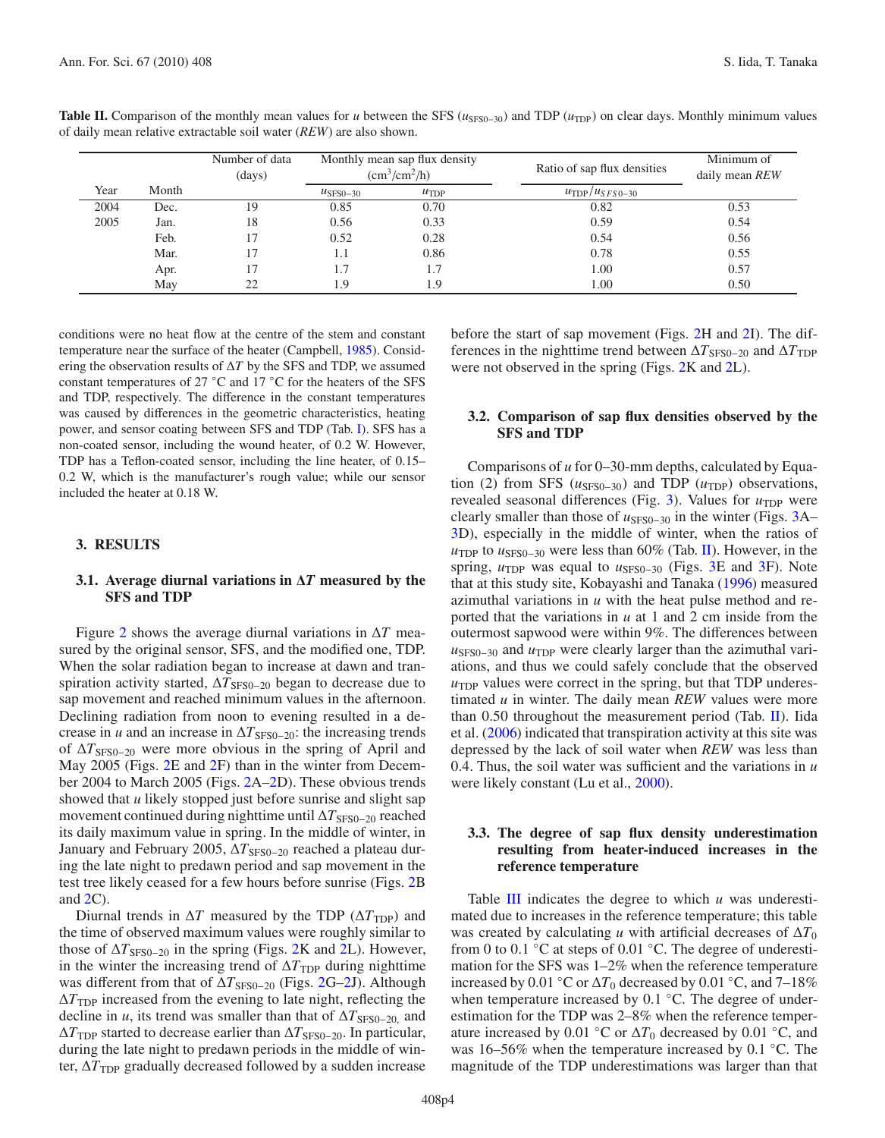|               |      | Number of data<br>(days) | Monthly mean sap flux density<br>$\rm (cm^3/cm^2/h)$ |                    | Ratio of sap flux densities  | Minimum of<br>daily mean REW |  |
|---------------|------|--------------------------|------------------------------------------------------|--------------------|------------------------------|------------------------------|--|
| Year<br>Month |      |                          | $\mu$ SFS0-30                                        | $U$ <sub>TDP</sub> | $u_{\text{TDP}}/u_{SFS0-30}$ |                              |  |
| 2004          | Dec. | 19                       | 0.85                                                 | 0.70               | 0.82                         | 0.53                         |  |
| 2005          | Jan. | 18                       | 0.56                                                 | 0.33               | 0.59                         | 0.54                         |  |
|               | Feb. | 17                       | 0.52                                                 | 0.28               | 0.54                         | 0.56                         |  |
|               | Mar. | 17                       | 1.1                                                  | 0.86               | 0.78                         | 0.55                         |  |
|               | Apr. | 17                       | 1.7                                                  | 1.7                | 1.00                         | 0.57                         |  |
|               | May  | 22                       | 1.9                                                  | 1.9                | 1.00                         | 0.50                         |  |

<span id="page-3-0"></span>**Table II.** Comparison of the monthly mean values for *u* between the SFS ( $u_{\text{SFS0-30}}$ ) and TDP ( $u_{\text{TDP}}$ ) on clear days. Monthly minimum values of daily mean relative extractable soil water (*REW*) are also shown.

conditions were no heat flow at the centre of the stem and constant temperature near the surface of the heater (Campbell, [1985](#page-8-7)). Considering the observation results of Δ*T* by the SFS and TDP, we assumed constant temperatures of 27 ◦C and 17 ◦C for the heaters of the SFS and TDP, respectively. The difference in the constant temperatures was caused by differences in the geometric characteristics, heating power, and sensor coating between SFS and TDP (Tab. [I\)](#page-2-0). SFS has a non-coated sensor, including the wound heater, of 0.2 W. However, TDP has a Teflon-coated sensor, including the line heater, of 0.15– 0.2 W, which is the manufacturer's rough value; while our sensor included the heater at 0.18 W.

#### **3. RESULTS**

## **3.1. Average diurnal variations in** Δ*T* **measured by the SFS and TDP**

Figure [2](#page-4-0) shows the average diurnal variations in Δ*T* measured by the original sensor, SFS, and the modified one, TDP. When the solar radiation began to increase at dawn and transpiration activity started,  $\Delta T$ <sub>SFS0−20</sub> began to decrease due to sap movement and reached minimum values in the afternoon. Declining radiation from noon to evening resulted in a decrease in *u* and an increase in  $\Delta T_{\rm SFS0-20}$ : the increasing trends of Δ*T*SFS0−<sup>20</sup> were more obvious in the spring of April and May 2005 (Figs. [2E](#page-4-0) and [2F](#page-4-0)) than in the winter from December 2004 to March 2005 (Figs. [2A–2D](#page-4-0)). These obvious trends showed that *u* likely stopped just before sunrise and slight sap movement continued during nighttime until Δ*T*<sub>SFS0−20</sub> reached its daily maximum value in spring. In the middle of winter, in January and February 2005, ΔT<sub>SFS0−20</sub> reached a plateau during the late night to predawn period and sap movement in the test tree likely ceased for a few hours before sunrise (Figs. [2B](#page-4-0) and [2C](#page-4-0)).

Diurnal trends in  $\Delta T$  measured by the TDP ( $\Delta T$ <sub>TDP</sub>) and the time of observed maximum values were roughly similar to those of  $\Delta T_{\rm SFS0-20}$  in the spring (Figs. [2K](#page-4-0) and [2L](#page-4-0)). However, in the winter the increasing trend of  $\Delta T_{\text{TDP}}$  during nighttime was different from that of Δ*T*<sub>SFS0−20</sub> (Figs. [2G–2J](#page-4-0)). Although  $\Delta T_{\text{TDP}}$  increased from the evening to late night, reflecting the decline in *u*, its trend was smaller than that of  $\Delta T_{\text{SFS0}-20}$ , and Δ*T*TDP started to decrease earlier than Δ*T*SFS0−20. In particular, during the late night to predawn periods in the middle of winter,  $\Delta T_{\text{TDP}}$  gradually decreased followed by a sudden increase before the start of sap movement (Figs. [2H](#page-4-0) and [2I](#page-4-0)). The differences in the nighttime trend between  $\Delta T$ <sub>SFS0−20</sub> and  $\Delta T$ <sub>TDP</sub> were not observed in the spring (Figs. [2K](#page-4-0) and [2L](#page-4-0)).

#### **3.2. Comparison of sap flux densities observed by the SFS and TDP**

Comparisons of *u* for 0–30-mm depths, calculated by Equation (2) from SFS ( $u_{SFS0-30}$ ) and TDP ( $u_{TDP}$ ) observations, revealed seasonal differences (Fig. [3\)](#page-5-0). Values for  $u_{\text{TDP}}$  were clearly smaller than those of *u*<sub>SFS0−30</sub> in the winter (Figs. [3A](#page-5-0)– [3D](#page-5-0)), especially in the middle of winter, when the ratios of *u*<sub>TDP</sub> to *u*<sub>SFS0−30</sub> were less than 60% (Tab. [II\)](#page-3-0). However, in the spring, *u*<sub>TDP</sub> was equal to *u*<sub>SFS0−30</sub> (Figs. [3E](#page-5-0) and [3F](#page-5-0)). Note that at this study site, Kobayashi and Tanaka [\(1996\)](#page-9-11) measured azimuthal variations in *u* with the heat pulse method and reported that the variations in *u* at 1 and 2 cm inside from the outermost sapwood were within 9%. The differences between *u*<sub>SFS0−30</sub> and *u*<sub>TDP</sub> were clearly larger than the azimuthal variations, and thus we could safely conclude that the observed  $u_{\text{TDP}}$  values were correct in the spring, but that TDP underestimated *u* in winter. The daily mean *REW* values were more than 0.50 throughout the measurement period (Tab.  $\mathbf{II}$ ). Iida et al. [\(2006\)](#page-9-7) indicated that transpiration activity at this site was depressed by the lack of soil water when *REW* was less than 0.4. Thus, the soil water was sufficient and the variations in *u* were likely constant (Lu et al., [2000](#page-9-2)).

# **3.3. The degree of sap flux density underestimation resulting from heater-induced increases in the reference temperature**

Table [III](#page-6-0) indicates the degree to which *u* was underestimated due to increases in the reference temperature; this table was created by calculating *u* with artificial decreases of  $\Delta T_0$ from 0 to 0.1  $\degree$ C at steps of 0.01  $\degree$ C. The degree of underestimation for the SFS was 1–2% when the reference temperature increased by 0.01 °C or  $\Delta T_0$  decreased by 0.01 °C, and 7–18% when temperature increased by 0.1 ℃. The degree of underestimation for the TDP was 2–8% when the reference temperature increased by 0.01 °C or  $\Delta T_0$  decreased by 0.01 °C, and was 16–56% when the temperature increased by 0.1  $°C$ . The magnitude of the TDP underestimations was larger than that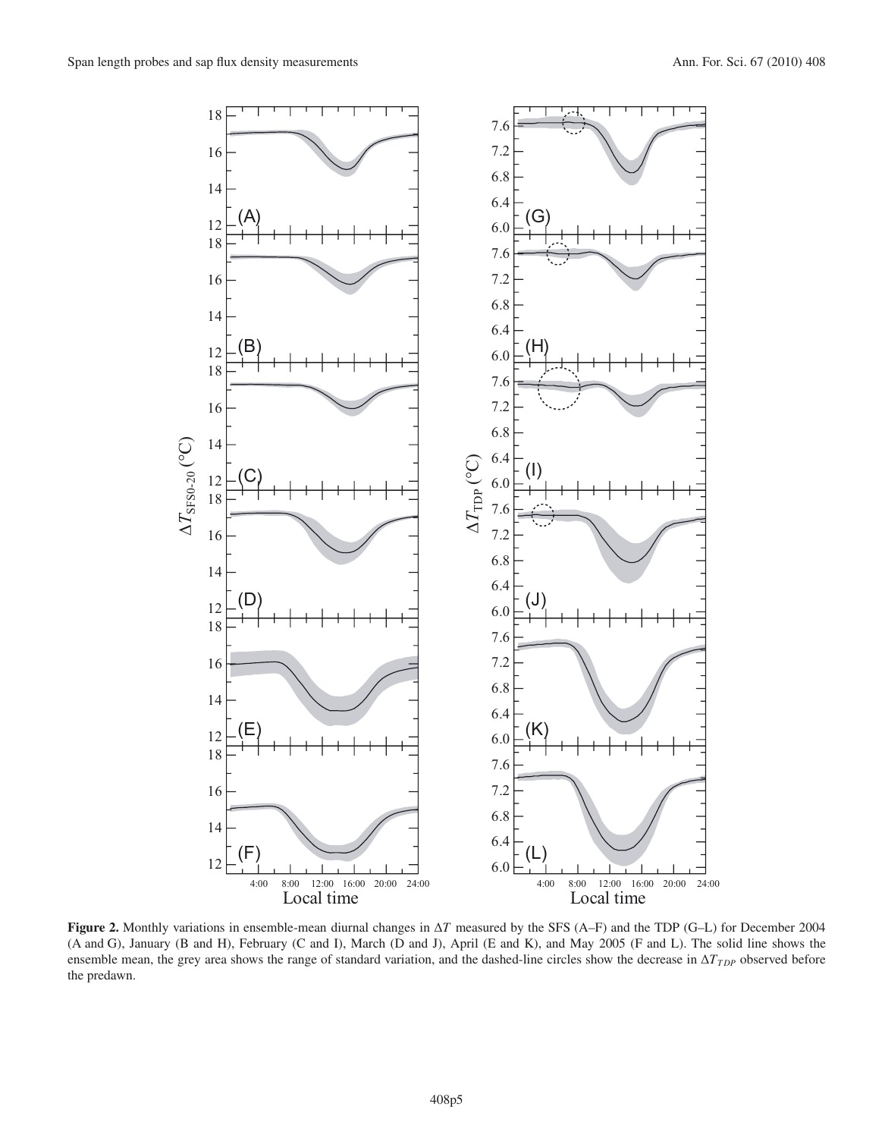

<span id="page-4-0"></span>**Figure 2.** Monthly variations in ensemble-mean diurnal changes in Δ*T* measured by the SFS (A–F) and the TDP (G–L) for December 2004 (A and G), January (B and H), February (C and I), March (D and J), April (E and K), and May 2005 (F and L). The solid line shows the ensemble mean, the grey area shows the range of standard variation, and the dashed-line circles show the decrease in Δ*T<sub>TDP</sub>* observed before the predawn.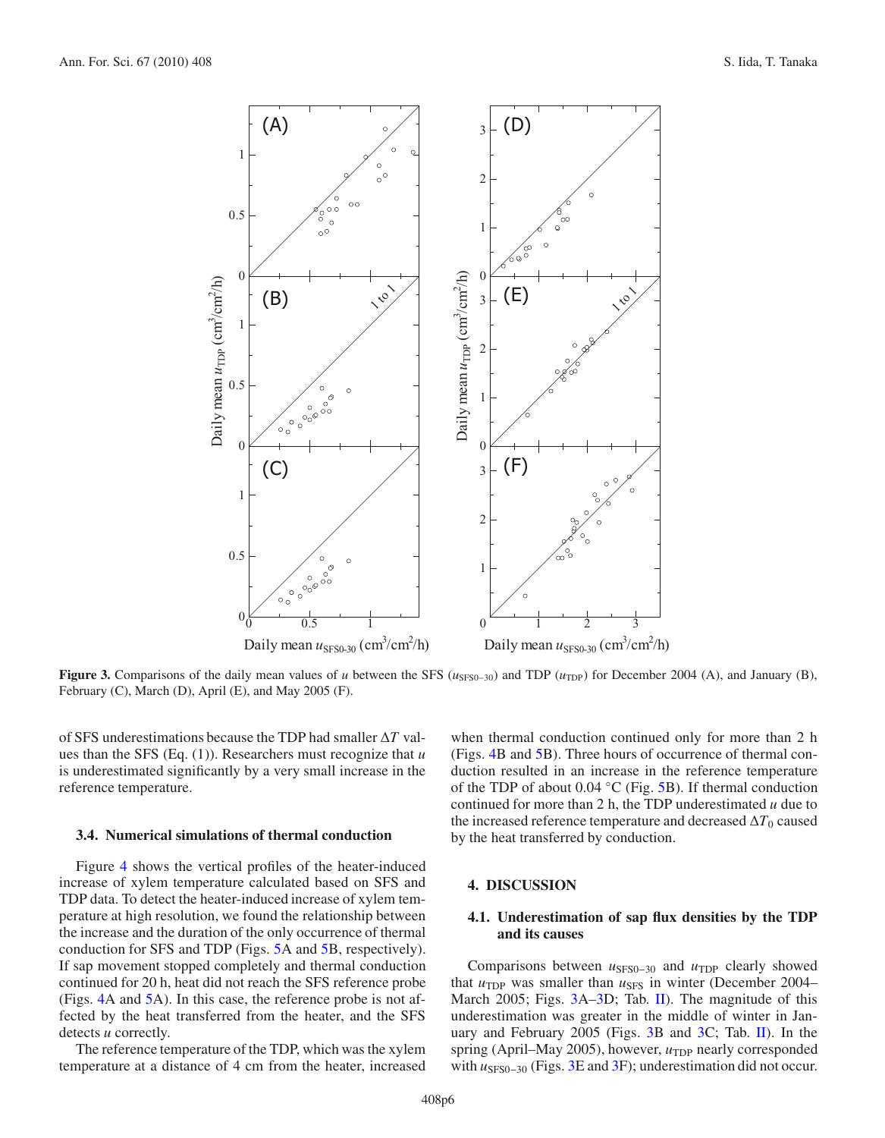

<span id="page-5-0"></span>**Figure 3.** Comparisons of the daily mean values of *u* between the SFS ( $u_{SFS0-30}$ ) and TDP ( $u_{TDP}$ ) for December 2004 (A), and January (B), February (C), March (D), April (E), and May 2005 (F).

of SFS underestimations because the TDP had smaller Δ*T* values than the SFS (Eq. (1)). Researchers must recognize that *u* is underestimated significantly by a very small increase in the reference temperature.

#### **3.4. Numerical simulations of thermal conduction**

Figure [4](#page-6-1) shows the vertical profiles of the heater-induced increase of xylem temperature calculated based on SFS and TDP data. To detect the heater-induced increase of xylem temperature at high resolution, we found the relationship between the increase and the duration of the only occurrence of thermal conduction for SFS and TDP (Figs. [5A](#page-6-2) and [5B](#page-6-2), respectively). If sap movement stopped completely and thermal conduction continued for 20 h, heat did not reach the SFS reference probe (Figs. [4A](#page-6-1) and [5A](#page-6-2)). In this case, the reference probe is not affected by the heat transferred from the heater, and the SFS detects *u* correctly.

The reference temperature of the TDP, which was the xylem temperature at a distance of 4 cm from the heater, increased when thermal conduction continued only for more than 2 h (Figs. [4B](#page-6-1) and [5B](#page-6-2)). Three hours of occurrence of thermal conduction resulted in an increase in the reference temperature of the TDP of about  $0.04 \text{ °C}$  (Fig. [5B](#page-6-2)). If thermal conduction continued for more than 2 h, the TDP underestimated *u* due to the increased reference temperature and decreased  $\Delta T_0$  caused by the heat transferred by conduction.

## **4. DISCUSSION**

### **4.1. Underestimation of sap flux densities by the TDP and its causes**

Comparisons between *u*<sub>SFS0−30</sub> and *u*<sub>TDP</sub> clearly showed that  $u_{\text{TDP}}$  was smaller than  $u_{\text{SFS}}$  in winter (December 2004– March 2005; Figs.  $3A-3D$ ; Tab. [II\)](#page-3-0). The magnitude of this underestimation was greater in the middle of winter in January and February 2005 (Figs. [3B](#page-5-0) and [3C](#page-5-0); Tab. [II\)](#page-3-0). In the spring (April–May 2005), however,  $u_{\text{TDP}}$  nearly corresponded with *u*<sub>SFS0−30</sub> (Figs. [3E](#page-5-0) and [3F](#page-5-0)); underestimation did not occur.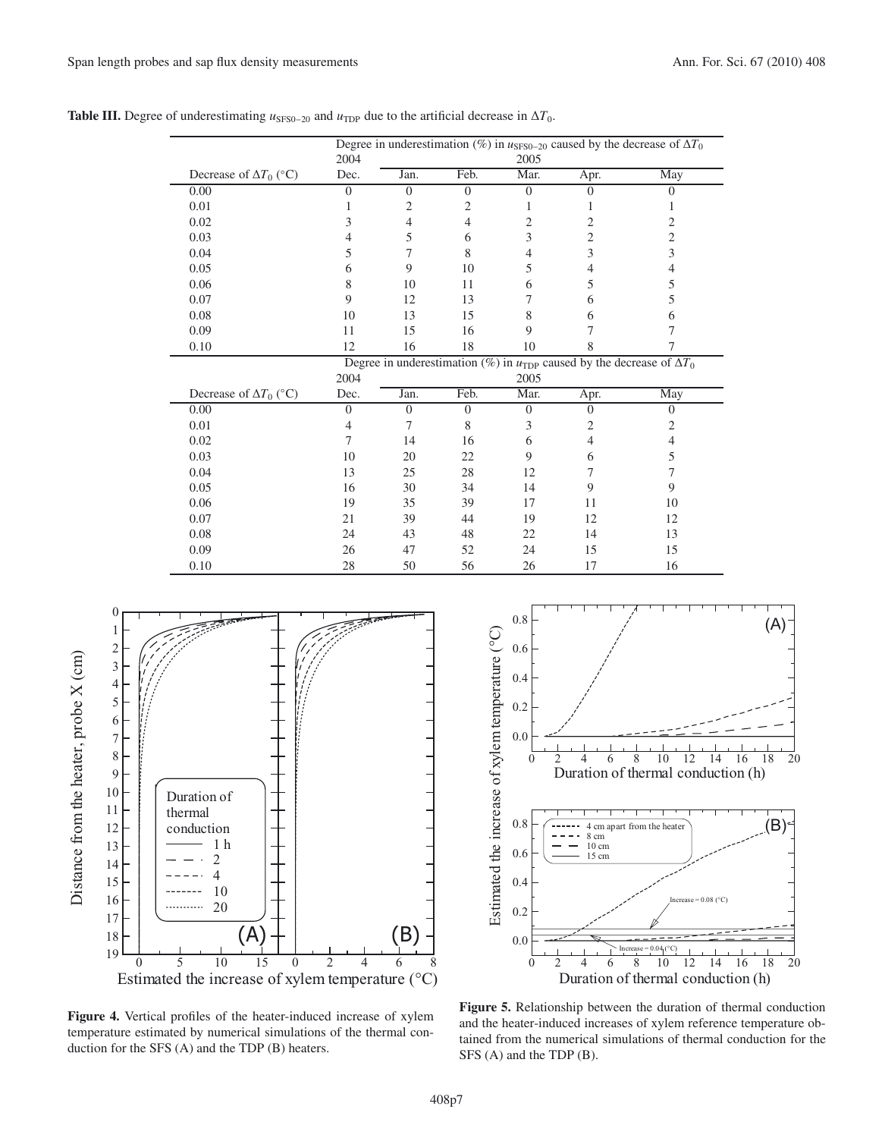|                               | Degree in underestimation (%) in $u_{SFS0-20}$ caused by the decrease of $\Delta T_0$    |                |                |                |                |                         |  |  |  |
|-------------------------------|------------------------------------------------------------------------------------------|----------------|----------------|----------------|----------------|-------------------------|--|--|--|
|                               | 2004                                                                                     | 2005           |                |                |                |                         |  |  |  |
| Decrease of $\Delta T_0$ (°C) | Dec.                                                                                     | Jan.           | Feb.           | Mar.           | Apr.           | May                     |  |  |  |
| 0.00                          | $\boldsymbol{0}$                                                                         | $\mathbf{0}$   | $\mathbf{0}$   | $\overline{0}$ | $\Omega$       | $\mathbf{0}$            |  |  |  |
| 0.01                          | 1                                                                                        | 2              | 2              | 1              | 1              | 1                       |  |  |  |
| 0.02                          | 3                                                                                        | $\overline{4}$ | $\overline{4}$ | 2              | $\overline{2}$ | 2                       |  |  |  |
| 0.03                          | 4                                                                                        | 5              | 6              | 3              | $\overline{2}$ | $\overline{\mathbf{c}}$ |  |  |  |
| 0.04                          | 5                                                                                        | 7              | 8              | 4              | 3              | 3                       |  |  |  |
| 0.05                          | 6                                                                                        | 9              | 10             | 5              | 4              | $\overline{4}$          |  |  |  |
| 0.06                          | 8                                                                                        | 10             | 11             | 6              | 5              | 5                       |  |  |  |
| 0.07                          | 9                                                                                        | 12             | 13             | 7              | 6              | 5                       |  |  |  |
| 0.08                          | 10                                                                                       | 13             | 15             | 8              | 6              | 6                       |  |  |  |
| 0.09                          | 11                                                                                       | 15             | 16             | 9              | 7              | 7                       |  |  |  |
| 0.10                          | 12                                                                                       | 16             | 18             | 10             | 8              | 7                       |  |  |  |
|                               | Degree in underestimation (%) in $u_{\text{TDP}}$ caused by the decrease of $\Delta T_0$ |                |                |                |                |                         |  |  |  |
|                               | 2004                                                                                     | 2005           |                |                |                |                         |  |  |  |
|                               |                                                                                          |                |                |                |                |                         |  |  |  |
| Decrease of $\Delta T_0$ (°C) | Dec.                                                                                     | Jan.           | Feb.           | Mar.           | Apr.           | May                     |  |  |  |
| 0.00                          | $\theta$                                                                                 | $\mathbf{0}$   | $\Omega$       | $\Omega$       | $\Omega$       | $\overline{0}$          |  |  |  |
| 0.01                          | 4                                                                                        | 7              | 8              | 3              | 2              | 2                       |  |  |  |
| 0.02                          | 7                                                                                        | 14             | 16             | 6              | $\overline{4}$ | $\overline{4}$          |  |  |  |
| 0.03                          | 10                                                                                       | 20             | 22             | 9              | 6              | 5                       |  |  |  |
| 0.04                          | 13                                                                                       | 25             | 28             | 12             | 7              | 7                       |  |  |  |
| 0.05                          | 16                                                                                       | 30             | 34             | 14             | 9              | 9                       |  |  |  |
| 0.06                          | 19                                                                                       | 35             | 39             | 17             | 11             | 10                      |  |  |  |
| 0.07                          | 21                                                                                       | 39             | 44             | 19             | 12             | 12                      |  |  |  |
| 0.08                          | 24                                                                                       | 43             | 48             | 22             | 14             | 13                      |  |  |  |
| 0.09                          | 26                                                                                       | 47             | 52             | 24             | 15             | 15                      |  |  |  |

<span id="page-6-0"></span>**Table III.** Degree of underestimating  $u_{\text{SFS0-20}}$  and  $u_{\text{TDP}}$  due to the artificial decrease in  $\Delta T_0$ .

<span id="page-6-1"></span>

**Figure 4.** Vertical profiles of the heater-induced increase of xylem temperature estimated by numerical simulations of the thermal conduction for the SFS (A) and the TDP (B) heaters.

<span id="page-6-2"></span>

**Figure 5.** Relationship between the duration of thermal conduction and the heater-induced increases of xylem reference temperature obtained from the numerical simulations of thermal conduction for the SFS (A) and the TDP (B).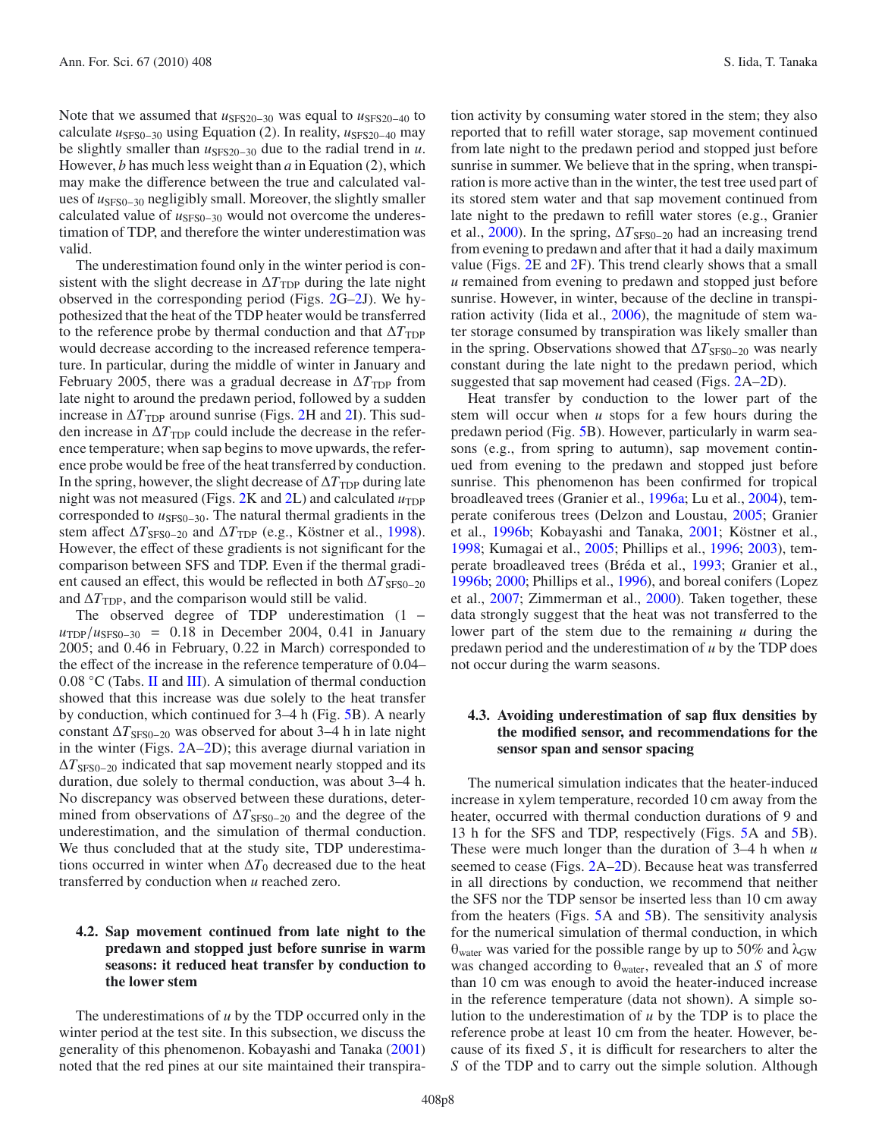Note that we assumed that *u*<sub>SFS20−30</sub> was equal to *u*<sub>SFS20−40</sub> to calculate *u*<sub>SFS0−30</sub> using Equation (2). In reality, *u*<sub>SFS20−40</sub> may be slightly smaller than *u*SFS20−<sup>30</sup> due to the radial trend in *u*. However, *b* has much less weight than *a* in Equation (2), which may make the difference between the true and calculated values of *u*<sub>SFS0−30</sub> negligibly small. Moreover, the slightly smaller calculated value of *u*<sub>SFS0−30</sub> would not overcome the underestimation of TDP, and therefore the winter underestimation was valid.

The underestimation found only in the winter period is consistent with the slight decrease in  $\Delta T_{\text{TDP}}$  during the late night observed in the corresponding period (Figs. [2G–2J](#page-4-0)). We hypothesized that the heat of the TDP heater would be transferred to the reference probe by thermal conduction and that  $\Delta T_{\text{TDP}}$ would decrease according to the increased reference temperature. In particular, during the middle of winter in January and February 2005, there was a gradual decrease in  $\Delta T_{\text{TDP}}$  from late night to around the predawn period, followed by a sudden increase in  $\Delta T_{\text{TDP}}$  around sunrise (Figs. [2H](#page-4-0) and [2I](#page-4-0)). This sudden increase in  $\Delta T_{\text{TDP}}$  could include the decrease in the reference temperature; when sap begins to move upwards, the reference probe would be free of the heat transferred by conduction. In the spring, however, the slight decrease of  $\Delta T_{\text{TDP}}$  during late night was not measured (Figs. [2K](#page-4-0) and [2L](#page-4-0)) and calculated  $u_{\text{TDP}}$ corresponded to *u*<sub>SFS0−30</sub>. The natural thermal gradients in the stem affect Δ*T*<sub>SFS0−20</sub> and Δ*T*<sub>TDP</sub> (e.g., Köstner et al., [1998\)](#page-9-1). However, the effect of these gradients is not significant for the comparison between SFS and TDP. Even if the thermal gradient caused an effect, this would be reflected in both  $\Delta T_{\rm SFS0-20}$ and  $\Delta T_{\text{TDP}}$ , and the comparison would still be valid.

The observed degree of TDP underestimation (1 −  $u_{\text{TDP}}/u_{\text{SFS0}-30}$  = 0.18 in December 2004, 0.41 in January 2005; and 0.46 in February, 0.22 in March) corresponded to the effect of the increase in the reference temperature of 0.04–  $0.08 \text{ °C}$  (Tabs. [II](#page-3-0) and [III\)](#page-6-0). A simulation of thermal conduction showed that this increase was due solely to the heat transfer by conduction, which continued for 3–4 h (Fig. [5B](#page-6-2)). A nearly constant  $\Delta T_{\rm SFS0-20}$  was observed for about 3–4 h in late night in the winter (Figs. [2A–2D](#page-4-0)); this average diurnal variation in  $\Delta T_{\rm SFS0-20}$  indicated that sap movement nearly stopped and its duration, due solely to thermal conduction, was about 3–4 h. No discrepancy was observed between these durations, determined from observations of  $\Delta T_{\rm SFS0-20}$  and the degree of the underestimation, and the simulation of thermal conduction. We thus concluded that at the study site, TDP underestimations occurred in winter when  $\Delta T_0$  decreased due to the heat transferred by conduction when *u* reached zero.

# **4.2. Sap movement continued from late night to the predawn and stopped just before sunrise in warm seasons: it reduced heat transfer by conduction to the lower stem**

The underestimations of *u* by the TDP occurred only in the winter period at the test site. In this subsection, we discuss the generality of this phenomenon. Kobayashi and Tanaka [\(2001](#page-9-12)) noted that the red pines at our site maintained their transpiration activity by consuming water stored in the stem; they also reported that to refill water storage, sap movement continued from late night to the predawn period and stopped just before sunrise in summer. We believe that in the spring, when transpiration is more active than in the winter, the test tree used part of its stored stem water and that sap movement continued from late night to the predawn to refill water stores (e.g., Granier et al., [2000\)](#page-8-0). In the spring,  $\Delta T$ <sub>SFS0−20</sub> had an increasing trend from evening to predawn and after that it had a daily maximum value (Figs. [2E](#page-4-0) and [2F](#page-4-0)). This trend clearly shows that a small *u* remained from evening to predawn and stopped just before sunrise. However, in winter, because of the decline in transpiration activity (Iida et al., [2006](#page-9-7)), the magnitude of stem water storage consumed by transpiration was likely smaller than in the spring. Observations showed that  $\Delta T_{\rm SFS0-20}$  was nearly constant during the late night to the predawn period, which suggested that sap movement had ceased (Figs. [2A–2D](#page-4-0)).

Heat transfer by conduction to the lower part of the stem will occur when *u* stops for a few hours during the predawn period (Fig. [5B](#page-6-2)). However, particularly in warm seasons (e.g., from spring to autumn), sap movement continued from evening to the predawn and stopped just before sunrise. This phenomenon has been confirmed for tropical broadleaved trees (Granier et al., [1996a;](#page-8-9) Lu et al., [2004\)](#page-9-3), temperate coniferous trees (Delzon and Loustau, [2005;](#page-8-10) Granier et al., [1996b](#page-8-5); Kobayashi and Tanaka, [2001;](#page-9-12) Köstner et al., [1998;](#page-9-1) Kumagai et al., [2005;](#page-9-13) Phillips et al., [1996;](#page-9-5) [2003](#page-9-14)), temperate broadleaved trees (Bréda et al., [1993;](#page-8-11) Granier et al., [1996b;](#page-8-5) [2000;](#page-8-0) Phillips et al., [1996](#page-9-5)), and boreal conifers (Lopez et al., [2007;](#page-9-15) Zimmerman et al., [2000\)](#page-9-16). Taken together, these data strongly suggest that the heat was not transferred to the lower part of the stem due to the remaining *u* during the predawn period and the underestimation of *u* by the TDP does not occur during the warm seasons.

# **4.3. Avoiding underestimation of sap flux densities by the modified sensor, and recommendations for the sensor span and sensor spacing**

The numerical simulation indicates that the heater-induced increase in xylem temperature, recorded 10 cm away from the heater, occurred with thermal conduction durations of 9 and 13 h for the SFS and TDP, respectively (Figs. [5A](#page-6-2) and [5B](#page-6-2)). These were much longer than the duration of 3–4 h when *u* seemed to cease (Figs. [2A–2D](#page-4-0)). Because heat was transferred in all directions by conduction, we recommend that neither the SFS nor the TDP sensor be inserted less than 10 cm away from the heaters (Figs. [5A](#page-6-2) and [5B](#page-6-2)). The sensitivity analysis for the numerical simulation of thermal conduction, in which θ<sub>water</sub> was varied for the possible range by up to 50% and  $λ$ <sub>GW</sub> was changed according to  $\theta_{\text{water}}$ , revealed that an *S* of more than 10 cm was enough to avoid the heater-induced increase in the reference temperature (data not shown). A simple solution to the underestimation of *u* by the TDP is to place the reference probe at least 10 cm from the heater. However, because of its fixed *S* , it is difficult for researchers to alter the *S* of the TDP and to carry out the simple solution. Although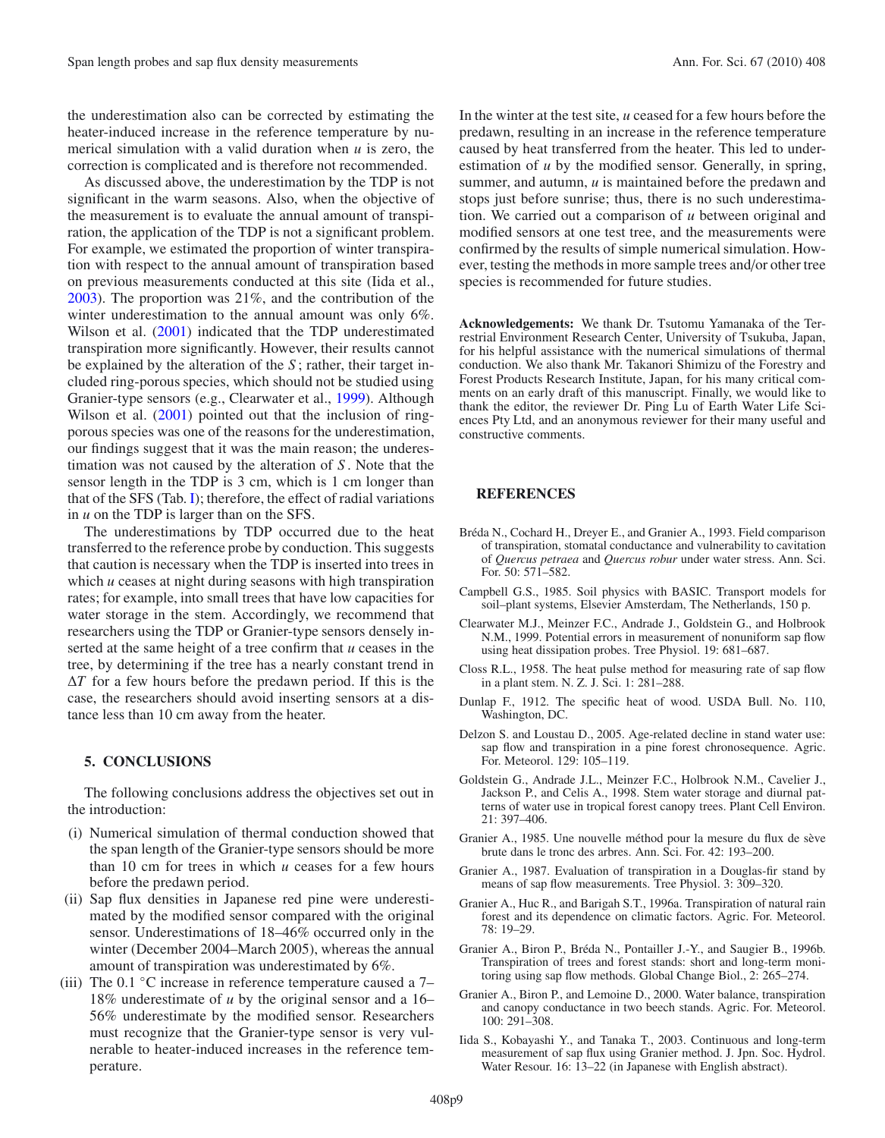the underestimation also can be corrected by estimating the heater-induced increase in the reference temperature by numerical simulation with a valid duration when *u* is zero, the correction is complicated and is therefore not recommended.

As discussed above, the underestimation by the TDP is not significant in the warm seasons. Also, when the objective of the measurement is to evaluate the annual amount of transpiration, the application of the TDP is not a significant problem. For example, we estimated the proportion of winter transpiration with respect to the annual amount of transpiration based on previous measurements conducted at this site (Iida et al., [2003\)](#page-8-6). The proportion was 21%, and the contribution of the winter underestimation to the annual amount was only 6%. Wilson et al. [\(2001\)](#page-9-4) indicated that the TDP underestimated transpiration more significantly. However, their results cannot be explained by the alteration of the *S* ; rather, their target included ring-porous species, which should not be studied using Granier-type sensors (e.g., Clearwater et al., [1999\)](#page-8-12). Although Wilson et al. [\(2001](#page-9-4)) pointed out that the inclusion of ringporous species was one of the reasons for the underestimation, our findings suggest that it was the main reason; the underestimation was not caused by the alteration of *S* . Note that the sensor length in the TDP is 3 cm, which is 1 cm longer than that of the SFS (Tab. [I\)](#page-2-0); therefore, the effect of radial variations in *u* on the TDP is larger than on the SFS.

The underestimations by TDP occurred due to the heat transferred to the reference probe by conduction. This suggests that caution is necessary when the TDP is inserted into trees in which *u* ceases at night during seasons with high transpiration rates; for example, into small trees that have low capacities for water storage in the stem. Accordingly, we recommend that researchers using the TDP or Granier-type sensors densely inserted at the same height of a tree confirm that *u* ceases in the tree, by determining if the tree has a nearly constant trend in Δ*T* for a few hours before the predawn period. If this is the case, the researchers should avoid inserting sensors at a distance less than 10 cm away from the heater.

#### **5. CONCLUSIONS**

The following conclusions address the objectives set out in the introduction:

- (i) Numerical simulation of thermal conduction showed that the span length of the Granier-type sensors should be more than 10 cm for trees in which *u* ceases for a few hours before the predawn period.
- (ii) Sap flux densities in Japanese red pine were underestimated by the modified sensor compared with the original sensor. Underestimations of 18–46% occurred only in the winter (December 2004–March 2005), whereas the annual amount of transpiration was underestimated by 6%.
- (iii) The 0.1 ◦C increase in reference temperature caused a 7– 18% underestimate of *u* by the original sensor and a 16– 56% underestimate by the modified sensor. Researchers must recognize that the Granier-type sensor is very vulnerable to heater-induced increases in the reference temperature.

In the winter at the test site, *u* ceased for a few hours before the predawn, resulting in an increase in the reference temperature caused by heat transferred from the heater. This led to underestimation of *u* by the modified sensor. Generally, in spring, summer, and autumn, *u* is maintained before the predawn and stops just before sunrise; thus, there is no such underestimation. We carried out a comparison of *u* between original and modified sensors at one test tree, and the measurements were confirmed by the results of simple numerical simulation. However, testing the methods in more sample trees and/or other tree species is recommended for future studies.

**Acknowledgements:** We thank Dr. Tsutomu Yamanaka of the Terrestrial Environment Research Center, University of Tsukuba, Japan, for his helpful assistance with the numerical simulations of thermal conduction. We also thank Mr. Takanori Shimizu of the Forestry and Forest Products Research Institute, Japan, for his many critical comments on an early draft of this manuscript. Finally, we would like to thank the editor, the reviewer Dr. Ping Lu of Earth Water Life Sciences Pty Ltd, and an anonymous reviewer for their many useful and constructive comments.

#### **REFERENCES**

- <span id="page-8-11"></span>Bréda N., Cochard H., Dreyer E., and Granier A., 1993. Field comparison of transpiration, stomatal conductance and vulnerability to cavitation of *Quercus petraea* and *Quercus robur* under water stress. Ann. Sci. For. 50: 571–582.
- <span id="page-8-7"></span>Campbell G.S., 1985. Soil physics with BASIC. Transport models for soil–plant systems, Elsevier Amsterdam, The Netherlands, 150 p.
- <span id="page-8-12"></span>Clearwater M.J., Meinzer F.C., Andrade J., Goldstein G., and Holbrook N.M., 1999. Potential errors in measurement of nonuniform sap flow using heat dissipation probes. Tree Physiol. 19: 681–687.
- <span id="page-8-4"></span>Closs R.L., 1958. The heat pulse method for measuring rate of sap flow in a plant stem. N. Z. J. Sci. 1: 281–288.
- <span id="page-8-8"></span>Dunlap F., 1912. The specific heat of wood. USDA Bull. No. 110, Washington, DC.
- <span id="page-8-10"></span>Delzon S. and Loustau D., 2005. Age-related decline in stand water use: sap flow and transpiration in a pine forest chronosequence. Agric. For. Meteorol. 129: 105–119.
- <span id="page-8-3"></span>Goldstein G., Andrade J.L., Meinzer F.C., Holbrook N.M., Cavelier J., Jackson P., and Celis A., 1998. Stem water storage and diurnal patterns of water use in tropical forest canopy trees. Plant Cell Environ. 21: 397–406.
- <span id="page-8-1"></span>Granier A., 1985. Une nouvelle méthod pour la mesure du flux de sève brute dans le tronc des arbres. Ann. Sci. For. 42: 193–200.
- <span id="page-8-2"></span>Granier A., 1987. Evaluation of transpiration in a Douglas-fir stand by means of sap flow measurements. Tree Physiol. 3: 309–320.
- <span id="page-8-9"></span>Granier A., Huc R., and Barigah S.T., 1996a. Transpiration of natural rain forest and its dependence on climatic factors. Agric. For. Meteorol. 78: 19–29.
- <span id="page-8-5"></span>Granier A., Biron P., Bréda N., Pontailler J.-Y., and Saugier B., 1996b. Transpiration of trees and forest stands: short and long-term monitoring using sap flow methods. Global Change Biol., 2: 265–274.
- <span id="page-8-0"></span>Granier A., Biron P., and Lemoine D., 2000. Water balance, transpiration and canopy conductance in two beech stands. Agric. For. Meteorol. 100: 291–308.
- <span id="page-8-6"></span>Iida S., Kobayashi Y., and Tanaka T., 2003. Continuous and long-term measurement of sap flux using Granier method. J. Jpn. Soc. Hydrol. Water Resour. 16: 13–22 (in Japanese with English abstract).